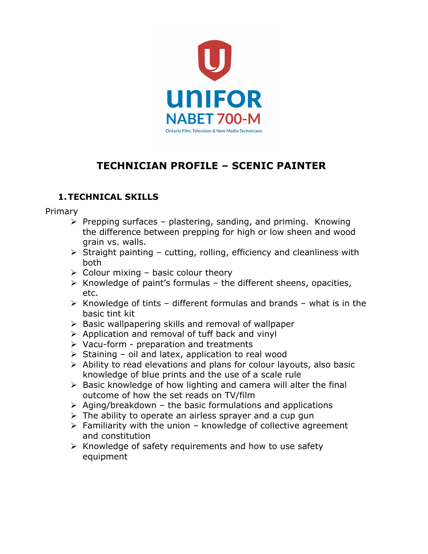

# **TECHNICIAN PROFILE – SCENIC PAINTER**

# **1.TECHNICAL SKILLS**

Primary

- $\triangleright$  Prepping surfaces plastering, sanding, and priming. Knowing the difference between prepping for high or low sheen and wood grain vs. walls.
- $\triangleright$  Straight painting cutting, rolling, efficiency and cleanliness with both
- $\triangleright$  Colour mixing basic colour theory
- $\triangleright$  Knowledge of paint's formulas the different sheens, opacities, etc.
- $\triangleright$  Knowledge of tints different formulas and brands what is in the basic tint kit
- $\triangleright$  Basic wallpapering skills and removal of wallpaper
- $\triangleright$  Application and removal of tuff back and vinyl
- $\triangleright$  Vacu-form preparation and treatments
- $\triangleright$  Staining oil and latex, application to real wood
- $\triangleright$  Ability to read elevations and plans for colour layouts, also basic knowledge of blue prints and the use of a scale rule
- $\triangleright$  Basic knowledge of how lighting and camera will alter the final outcome of how the set reads on TV/film
- $\triangleright$  Aging/breakdown the basic formulations and applications
- $\triangleright$  The ability to operate an airless sprayer and a cup gun
- $\triangleright$  Familiarity with the union knowledge of collective agreement and constitution
- $\triangleright$  Knowledge of safety requirements and how to use safety equipment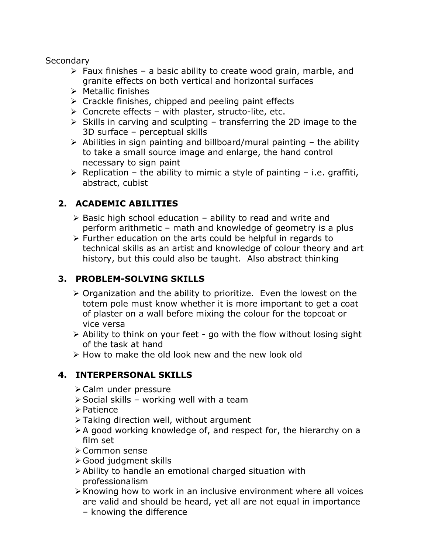#### **Secondary**

- $\triangleright$  Faux finishes a basic ability to create wood grain, marble, and granite effects on both vertical and horizontal surfaces
- $\triangleright$  Metallic finishes
- $\triangleright$  Crackle finishes, chipped and peeling paint effects
- $\triangleright$  Concrete effects with plaster, structo-lite, etc.
- $\triangleright$  Skills in carving and sculpting transferring the 2D image to the 3D surface – perceptual skills
- $\triangleright$  Abilities in sign painting and billboard/mural painting the ability to take a small source image and enlarge, the hand control necessary to sign paint
- $\triangleright$  Replication the ability to mimic a style of painting i.e. graffiti, abstract, cubist

# **2. ACADEMIC ABILITIES**

- $\triangleright$  Basic high school education ability to read and write and perform arithmetic – math and knowledge of geometry is a plus
- $\triangleright$  Further education on the arts could be helpful in regards to technical skills as an artist and knowledge of colour theory and art history, but this could also be taught. Also abstract thinking

## **3. PROBLEM-SOLVING SKILLS**

- $\triangleright$  Organization and the ability to prioritize. Even the lowest on the totem pole must know whether it is more important to get a coat of plaster on a wall before mixing the colour for the topcoat or vice versa
- $\triangleright$  Ability to think on your feet go with the flow without losing sight of the task at hand
- $\triangleright$  How to make the old look new and the new look old

#### **4. INTERPERSONAL SKILLS**

- $\triangleright$  Calm under pressure
- $\triangleright$  Social skills working well with a team
- $\triangleright$  Patience
- $\triangleright$  Taking direction well, without argument
- $\triangleright$  A good working knowledge of, and respect for, the hierarchy on a film set
- > Common sense
- $\triangleright$  Good judgment skills
- $\triangleright$  Ability to handle an emotional charged situation with professionalism
- $\triangleright$  Knowing how to work in an inclusive environment where all voices are valid and should be heard, yet all are not equal in importance
	- knowing the difference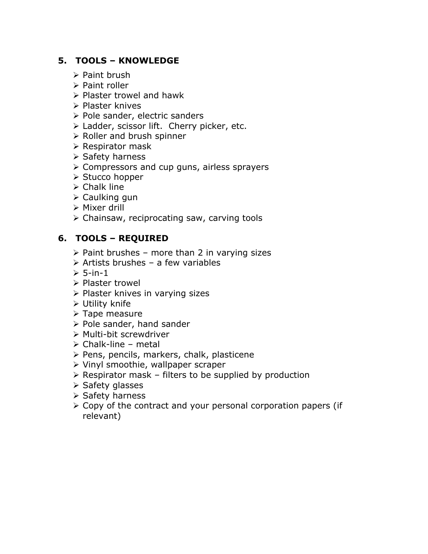## **5. TOOLS – KNOWLEDGE**

- $\triangleright$  Paint brush
- $\triangleright$  Paint roller
- $\triangleright$  Plaster trowel and hawk
- $\triangleright$  Plaster knives
- $\triangleright$  Pole sander, electric sanders
- $\triangleright$  Ladder, scissor lift. Cherry picker, etc.
- $\triangleright$  Roller and brush spinner
- $\triangleright$  Respirator mask
- $\triangleright$  Safety harness
- $\triangleright$  Compressors and cup guns, airless sprayers
- ▶ Stucco hopper
- $\triangleright$  Chalk line
- $\triangleright$  Caulking gun
- $\triangleright$  Mixer drill
- $\triangleright$  Chainsaw, reciprocating saw, carving tools

## **6. TOOLS – REQUIRED**

- $\triangleright$  Paint brushes more than 2 in varying sizes
- $\triangleright$  Artists brushes a few variables
- $> 5$ -in-1
- $\triangleright$  Plaster trowel
- $\triangleright$  Plaster knives in varying sizes
- $\triangleright$  Utility knife
- $\triangleright$  Tape measure
- $\triangleright$  Pole sander, hand sander
- $\triangleright$  Multi-bit screwdriver
- $\triangleright$  Chalk-line metal
- $\triangleright$  Pens, pencils, markers, chalk, plasticene
- $\triangleright$  Vinyl smoothie, wallpaper scraper
- $\triangleright$  Respirator mask filters to be supplied by production
- $\triangleright$  Safety glasses
- $\triangleright$  Safety harness
- $\geq$  Copy of the contract and your personal corporation papers (if relevant)